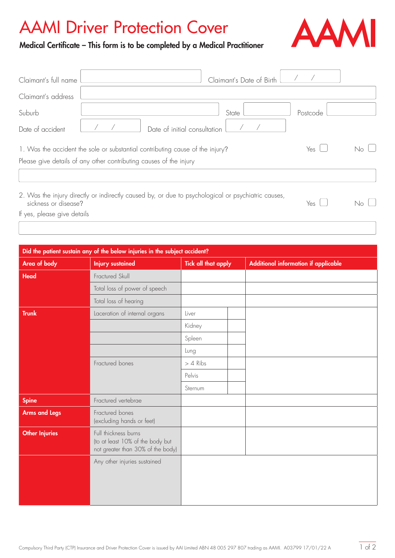## AAMI Driver Protection Cover



Medical Certificate – This form is to be completed by a Medical Practitioner

| Claimant's full name                                                          | Claimant's Date of Birth                                                                           |          |  |
|-------------------------------------------------------------------------------|----------------------------------------------------------------------------------------------------|----------|--|
| Claimant's address                                                            |                                                                                                    |          |  |
| Suburb                                                                        | State                                                                                              | Postcode |  |
| Date of accident                                                              | Date of initial consultation                                                                       |          |  |
| 1. Was the accident the sole or substantial contributing cause of the injury? | Yes I                                                                                              |          |  |
|                                                                               | Please give details of any other contributing causes of the injury                                 |          |  |
|                                                                               |                                                                                                    |          |  |
| sickness or disease?                                                          | 2. Was the injury directly or indirectly caused by, or due to psychological or psychiatric causes, | Yes      |  |

If yes, please give details

| Did the patient sustain any of the below injuries in the subject accident? |                                                                                               |                            |  |                                      |  |
|----------------------------------------------------------------------------|-----------------------------------------------------------------------------------------------|----------------------------|--|--------------------------------------|--|
| Area of body                                                               | <b>Injury sustained</b>                                                                       | <b>Tick all that apply</b> |  | Additional information if applicable |  |
| Head                                                                       | Fractured Skull                                                                               |                            |  |                                      |  |
|                                                                            | Total loss of power of speech                                                                 |                            |  |                                      |  |
|                                                                            | Total loss of hearing                                                                         |                            |  |                                      |  |
| <b>Trunk</b>                                                               | Laceration of internal organs                                                                 | Liver                      |  |                                      |  |
|                                                                            |                                                                                               | Kidney                     |  |                                      |  |
|                                                                            |                                                                                               | Spleen                     |  |                                      |  |
|                                                                            |                                                                                               | Lung                       |  |                                      |  |
|                                                                            | Fractured bones                                                                               | $> 4$ Ribs                 |  |                                      |  |
|                                                                            |                                                                                               | Pelvis                     |  |                                      |  |
|                                                                            |                                                                                               | Sternum                    |  |                                      |  |
| <b>Spine</b>                                                               | Fractured vertebrae                                                                           |                            |  |                                      |  |
| <b>Arms and Legs</b>                                                       | Fractured bones<br>(excluding hands or feet)                                                  |                            |  |                                      |  |
| <b>Other Injuries</b>                                                      | Full thickness burns<br>(to at least 10% of the body but<br>not greater than 30% of the body) |                            |  |                                      |  |
|                                                                            | Any other injuries sustained                                                                  |                            |  |                                      |  |